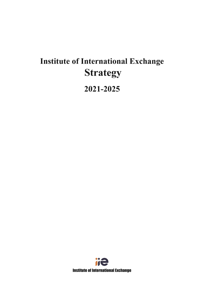# **Institute of International Exchange Strategy** 2021-2025

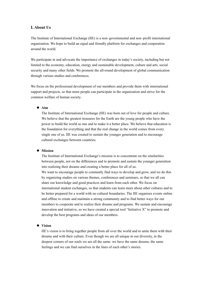# **Ⅰ. About Us**

The Institute of International Exchange (IIE) is a non–governmental and non–profit international organization. We hope to build an equal and friendly platform for exchanges and cooperation around the world.

We participate in and advocate the importance of exchanges in today's society, including but not limited to the economy, education, energy and sustainable development, culture and arts, social security and many other fields. We promote the all-round development of global communication through various studies and conferences.

We focus on the professional development of our members and provide them with international support and projects, so that more people can participate in the organization and strive for the common welfare of human society.

#### **Aim**

The Institute of International Exchange (IIE) was born out of love for people and culture. We believe that the greatest treasures for the Earth are the young people who have the power to build the world as one and to make it a better place. We believe that education is the foundation for everything and that the real change in the world comes from every single one of us. IIE was created to sustain the younger generation and to encourage cultural exchanges between countries.

#### **Mission**

The Institute of International Exchange's mission is to concentrate on the similarities between people, not on the differences and to promote and sustain the younger generation into realizing their dreams and creating a better place for all of us.

We want to encourage people to constantly find ways to develop and grow, and we do this by organizing studies on various themes, conferences and seminars, so that we all can share our knowledge and good practices and learn from each other. We focus on international student exchanges, so that students can learn more about other cultures and to be better prepared for a world with no cultural boundaries. The IIE organizes events online and offline to create and maintain a strong community and to find better ways for our members to cooperate and to realize their dreams and programs. We sustain and encourage innovation and initiative, so we have created a special tool "Initiative X" to promote and develop the best programs and ideas of our members.

#### **Vision**

IIE's vision is to bring together people from all over the world and to unite them with their dreams and with their culture. Even though we are all unique in our diversity, in the deepest corners of our souls we are all the same: we have the same dreams, the same feelings and we can find ourselves in the lines of each other's stories.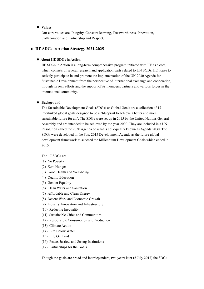## **Values**

Our core values are: Integrity, Constant learning, Trustworthiness, Innovation, Collaboration and Partnership and Respect.

## **Ⅱ. IIE SDGs in Action Strategy 2021-2025**

#### **About IIE SDGs in Action**

IIE SDGs in Action is a long-term comprehensive program initiated with IIE as a core, which consists of several research and application parts related to UN SGDs. IIE hopes to actively participate in and promote the implementation of the UN 2030 Agenda for Sustainable Development from the perspectiveof international exchange and cooperation, through its own efforts and the support of its members, partners and various forces in the international community.

#### **Background**

The Sustainable Development Goals (SDGs) or Global Goals are a collection of 17 interlinked global goals designed to be a "blueprint to achieve a better and more sustainable future for all". The SDGs were set up in 2015 by the United Nations General Assembly and are intended to be achieved by the year 2030. They are included in a UN Resolution called the 2030 Agenda or what is colloquially known as Agenda 2030. The SDGs were developed in the Post-2015 Development Agenda asthe future global development framework to succeed the Millennium Development Goals which ended in 2015.

The 17 SDGs are:

- (1) No Poverty
- (2) Zero Hunger
- (3) Good Health and Well-being
- (4) Quality Education
- (5) Gender Equality
- (6) Clean Water and Sanitation
- (7) Affordable and Clean Energy
- (8) Decent Work and Economic Growth
- (9) Industry, Innovation and Infrastructure
- (10) Reducing Inequality
- (11) Sustainable Cities and Communities
- (12) Responsible Consumption and Production
- (13) Climate Action
- (14) Life Below Water
- (15) Life On Land
- (16) Peace, Justice, and Strong Institutions
- (17) Partnerships for the Goals.

Though the goals are broad and interdependent, two years later (6 July 2017) the SDGs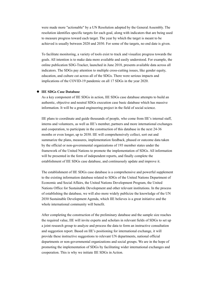were made more "actionable" by a UN Resolution adopted by the General Assembly. The resolution identifies specific targets for each goal, along with indicators that are being used to measure progress toward each target. The year by which the target is meant to be achieved is usually between 2020 and 2030. For some of the targets, no end date is given.

To facilitate monitoring, a variety of tools exist to track and visualize progress towards the goals. All intention is to make data more available and easily understood. For example, the online publication SDG-Tracker, launched in June 2018, presents available data across all indicators. The SDGs pay attention to multiple cross-cutting issues, like gender equity, education, and culture cut across all of the SDGs. There were serious impacts and implications of the COVID-19 pandemic on all 17 SDGs in the year 2020.

#### **IIE SDGs Case Database**

As a key component of IIE SDGs in action, IIE SDGs case database attempts to build an authentic, objective and neutral SDGs execution case basic database which has massive information. It will be a grand engineering project in the field of social science.

IIE plans to coordinate and guide thousands ofpeople, who come from IIE's internal staff, interns and volunteers, as well as IIE's member, partners and more international exchanges and cooperation, to participate in the construction of this database in the next 24-36 months or even longer, up to 2030. IIE will comprehensively collect, sort out and summarize the plans, measures, implementation feedback, phased or outcome data taken by the official or non-governmental organizations of 193 member states under the framework of the United Nations to promote the implementation of SDGs. All information will be presented in the form of independent reports, and finally complete the establishment of IIE SDGs case database, and continuously update and improve it.

The establishment of IIE SDGs case database is a comprehensive and powerful supplement to the existing information database related to SDGs of the United Nations Department of Economic and Social Affairs, the United Nations Development Program, the United Nations Office for Sustainable Development and other relevant institutions. In the process of establishing the database, we will also more widely publicize the knowledge of the UN 2030 Sustainable Development Agenda, which IIE believes is a great initiative and the whole international community will benefit.

After completing the construction of the preliminary database and the sample size reaches the required value, IIE will invite experts and scholars in relevant fields of SDGs to set up a joint research group to analyze and process the data to form an instructive consultation and suggestion report. Based on IIE's positioning for international exchange, it will provide these instructive suggestions to relevant UN departments, national official departments or non-governmental organizations and social groups. We are in the hope of promoting the implementation of SDGs by facilitating wider international exchanges and cooperation. This is why we initiate IIE SDGs in Action.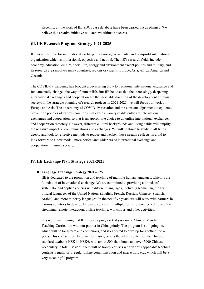Recently, all the work of IIE SDGs case database have been carried out as planned. We believe this creative initiative will achieve ultimate success.

## **Ⅲ. IIE Research Program Strategy 2021-2025**

IIE, as an institute for international exchange, is a non-governmental and non-profit international organization which is professional, objective and neutral. The IIE's research fields include economy, education, culture, social life, energy and environment except politics and military, and its research area involves many countries, regions or cities in Europe, Asia, Africa, America and Oceania.

The COVID-19 pandemic has brought a devastating blow to traditional international exchange and fundamentally changed the way of human life. But IIE believes that the increasingly deepening international exchanges and cooperation are the inevitable direction of the development of human society. In the strategic planning of research projects in 2021-2025, we will focus our work on Europe and Asia. The uncertainty of COVID-19 variation and the constant adjustment to epidemic prevention policies of various countries will cause a variety of difficulties to international exchanges and cooperation, so that is an appropriate choice to do online international exchanges and cooperation remotely. However, different cultural backgrounds and living habits will amplify the negative impact on communications and exchanges.We will continue to study in all fields deeply and look for effective methods to reduce and weaken those negative effects, in a bid to look forward to a new model, more perfect and wider era of international exchange and cooperation in human society.

## **Ⅳ. IIE Exchange Plan Strategy 2021-2025**

#### **Language Exchange Strategy 2021-2025**

IIE is dedicated to the promotion and teaching of multiple human languages, which is the foundation of international exchange. We are committed to providing all kinds of systematic and applied courses with different languages, including Romanian, the six official languages of the United Nations (English, French, Russian, Chinese, Spanish, Arabic), and more minority languages. In the next five years, we will work with partners in various countries to develop language courses in multiple forms: online recording and live streaming, remote interaction, offline teaching, workshops and other activities.

It is worth mentioning that IIE is developing a set of systematic Chinese Mandarin Teaching Curriculum with our partner in China jointly. The program is still going on, which will be long-term and continuous, and is expected to develop for another 3 to 4 years. This course, from beginner to master, covers the whole content of the Chinese standard textbook HSK1 - HSK6, with about 500 class hours and over 5000 Chinese vocabulary in total. Besides, there will be hobby courses with various applicable teaching contents, regular or irregular online communication and interaction, etc., which will be a very meaningful program.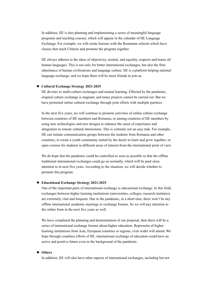In addition, IIE is also planning and implementing a series of meaningful language programs and teaching courses, which will appear in the calendar of IIE Language Exchange. For example, we will create liaisons with the Romanian schools which have classes that teach Chinese and promote the program together.

IIE always adheres to the ideas ofobjectivity, neutral, and equality, respects and learns all human languages. This is not only for better international exchanges, but also the firm inheritance of human civilizations and language culture. IIE is a platform helping national language exchange, and we hope there will be more friends to join us.

#### **Cultural Exchange Strategy 2021-2025**

IIE devotes to multi-culture exchanges and mutual learning. Effected by the pandemic, original culture exchange is stagnant, and many projects cannot be carried out. But we have promoted online cultural exchange through joint efforts with multiple partners.

In the next five years, we will continue to promote activities of online culture exchange between countries of IIE members and Romania, or among countries of IIE members by using new technologies and new designs to enhance the sense of experience and integration in remote cultural interactions. This is certainly not an easy task. For example, IIE can initiate communication groups between the students from Romania and other countries, to create a youth community united by the desire to learn and grow together; or open courses for students in different areas of interest from the international point of view.

We do hope that the pandemic could be controlled as soon as possible so that the offline traditional international exchanges could go on normally, which will be paid close attention to in next five years. According to the situation, we will decide whether to promote this program.

#### **Educational Exchange Strategy 2021-2025**

One of the important parts of international exchange is educational exchange. In this field, exchanges between higher learning institutions (universities, colleges, research institutes) are extremely vital and frequent. Due to the pandemic, in a short time, there won't be any offline international academic meetings orexchange forums. So we will pay attention to the online form in the next five years as well.

We have completed the planning and demonstration of our proposal, then there will be a series of international exchange forums about higher education. Represents of higher learning institutions from Asia, European countries or regions, even wider will attend. We hope through countless efforts of IIE, international exchange of education could have an active and positive future even in the background of the pandemic.

#### **Others**

In addition, IIE will also have other aspects of international exchanges, including but not